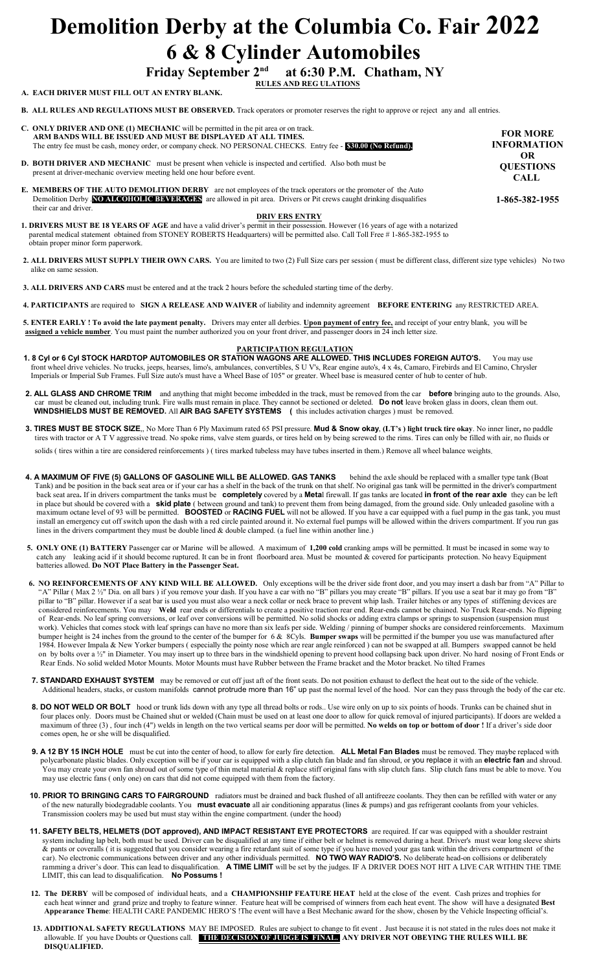# **Demolition Derby at the Columbia Co. Fair 2022 6 & 8 Cylinder Automobiles**<br>Friday September 2<sup>nd</sup> at 6:30 P.M. Chatham,

**Friday September 2nd at 6:30 P.M. Chatham, NY RULES AND REG ULATIONS** 

**A. EACH DRIVER MUST FILL OUT AN ENTRY BLANK.**

obtain proper minor form paperwork.

 **B. ALL RULES AND REGULATIONS MUST BE OBSERVED.** Track operators or promoter reserves the right to approve or reject any and all entries.

|                       | <b>C. ONLY DRIVER AND ONE (1) MECHANIC</b> will be permitted in the pit area or on track.<br>ARM BANDS WILL BE ISSUED AND MUST BE DISPLAYED AT ALL TIMES.<br>The entry fee must be cash, money order, or company check. NO PERSONAL CHECKS. Entry fee - \$30.00 (No Refund). | <b>FOR MORE</b><br><b>INFORMATION</b> |
|-----------------------|------------------------------------------------------------------------------------------------------------------------------------------------------------------------------------------------------------------------------------------------------------------------------|---------------------------------------|
|                       | <b>D. BOTH DRIVER AND MECHANIC</b> must be present when vehicle is inspected and certified. Also both must be<br>present at driver-mechanic overview meeting held one hour before event.                                                                                     | OR<br><b>QUESTIONS</b><br><b>CALL</b> |
|                       | <b>E. MEMBERS OF THE AUTO DEMOLITION DERBY</b> are not employees of the track operators or the promoter of the Auto<br>Demolition Derby <b>NO ALCOHOLIC BEVERAGES</b> are allowed in pit area. Drivers or Pit crews caught drinking disqualifies<br>their car and driver.    | 1-865-382-1955                        |
| <b>DRIV ERS ENTRY</b> |                                                                                                                                                                                                                                                                              |                                       |
|                       | <b>1. DRIVERS MUST BE 18 YEARS OF AGE</b> and have a valid driver's permit in their possession. However (16 years of age with a notarized<br>parental medical statement obtained from STONEY ROBERTS Headquarters) will be permitted also. Call Toll Free #1-865-382-1955 to |                                       |

2. ALL DRIVERS MUST SUPPLY THEIR OWN CARS. You are limited to two (2) Full Size cars per session (must be different class, different size type vehicles) No two alike on same session.

 **3. ALL DRIVERS AND CARS** must be entered and at the track 2 hours before the scheduled starting time of the derby.

 **4. PARTICIPANTS** are required to **SIGN A RELEASE AND WAIVER** of liability and indemnity agreement **BEFORE ENTERING** any RESTRICTED AREA.

 **5. ENTER EARLY ! To avoid the late payment penalty.** Drivers may enter all derbies. **Upon payment of entry fee,** and receipt of your entry blank, you will be  **assigned a vehicle number**. You must paint the number authorized you on your front driver, and passenger doors in 24 inch letter size.

#### **PARTICIPATION REGULATION**

- **1. 8 Cyl or 6 Cyl STOCK HARDTOP AUTOMOBILES OR STATION WAGONS ARE ALLOWED. THIS INCLUDES FOREIGN AUTO'S.** You may use front wheel drive vehicles. No trucks, jeeps, hearses, limo's, ambulances, convertibles, S U V's, Rear engine auto's, 4 x 4s, Camaro, Firebirds and El Camino, Chrysler Imperials or Imperial Sub Frames. Full Size auto's must have a Wheel Base of 105" or greater. Wheel base is measured center of hub to center of hub.
- **2. ALL GLASS AND CHROME TRIM** and anything that might become imbedded in the track, must be removed from the car **before** bringing auto to the grounds. Also, car must be cleaned out, including trunk. Fire walls must remain in place. They cannot be sectioned or deleted. **Do not** leave broken glass in doors, clean them out.  **WINDSHIELDS MUST BE REMOVED.** All **AIR BAG SAFETY SYSTEMS (** this includes activation charges ) must be removed.
	- **3. TIRES MUST BE STOCK SIZE**,, No More Than 6 Ply Maximum rated 65 PSI pressure. **Mud & Snow okay**, **(LT's ) light truck tire okay**. No inner liner**,** no paddle tires with tractor or A T V aggressive tread. No spoke rims, valve stem guards, or tires held on by being screwed to the rims. Tires can only be filled with air, no fluids or solids ( tires within a tire are considered reinforcements ) ( tires marked tubeless may have tubes inserted in them.) Remove all wheel balance weights.
- 4. A MAXIMUM OF FIVE (5) GALLONS OF GASOLINE WILL BE ALLOWED. GAS TANKS behind the axle should be replaced with a smaller type tank (Boat Tank) and be position in the back seat area or if your car has a shelf in the back of the trunk on that shelf. No original gas tank will be permitted in the driver's compartment back seat area**.** If in drivers compartment the tanks must be **completely** covered by a **Meta**l firewall. If gas tanks are located **in front of the rear axle** they can be left in place but should be covered with a **skid plate** ( between ground and tank) to prevent them from being damaged, from the ground side. Only unleaded gasoline with a maximum octane level of 93 will be permitted. **BOOSTED** or **RACING FUEL** will not be allowed. If you have a car equipped with a fuel pump in the gas tank, you must install an emergency cut off switch upon the dash with a red circle painted around it. No external fuel pumps will be allowed within the drivers compartment. If you run gas lines in the drivers compartment they must be double lined & double clamped. (a fuel line within another line.)
	- **5. ONLY ONE (1) BATTERY** Passenger car or Marine will be allowed. A maximum of **1,200 cold** cranking amps will be permitted. It must be incased in some way to catch any leaking acid if it should become ruptured. It can be in front floorboard area. Must be mounted & covered for participants protection. No heavy Equipment batteries allowed. **Do NOT Place Battery in the Passenger Seat.**
- **6. NO REINFORCEMENTS OF ANY KIND WILL BE ALLOWED.** Only exceptions will be the driver side front door, and you may insert a dash bar from "A" Pillar to "A" Pillar ( Max 2 ½" Dia. on all bars ) if you remove your dash. If you have a car with no "B" pillars you may create "B" pillars. If you use a seat bar it may go from "B" pillar to "B" pillar. However if a seat bar is used you must also wear a neck collar or neck brace to prevent whip lash. Trailer hitches or any types of stiffening devices are considered reinforcements. You may **Weld** rear ends or differentials to create a positive traction rear end. Rear-ends cannot be chained. No Truck Rear-ends. No flipping of Rear-ends. No leaf spring conversions, or leaf over conversions will be permitted. No solid shocks or adding extra clamps or springs to suspension (suspension must work). Vehicles that comes stock with leaf springs can have no more than six leafs per side. Welding / pinning of bumper shocks are considered reinforcements. Maximum bumper height is 24 inches from the ground to the center of the bumper for 6 & 8Cyls. **Bumper swaps** will be permitted if the bumper you use was manufactured after 1984. However Impala & New Yorker bumpers ( especially the pointy nose which are rear angle reinforced ) can not be swapped at all. Bumpers swapped cannot be held on by bolts over a 1/2" in Diameter. You may insert up to three bars in the windshield opening to prevent hood collapsing back upon driver. No hard nosing of Front Ends or Rear Ends. No solid welded Motor Mounts. Motor Mounts must have Rubber between the Frame bracket and the Motor bracket. No tilted Frames
	- **7. STANDARD EXHAUST SYSTEM** may be removed or cut off just aft of the front seats. Do not position exhaust to deflect the heat out to the side of the vehicle. Additional headers, stacks, or custom manifolds cannot protrude more than 16" up past the normal level of the hood. Nor can they pass through the body of the car etc.
	- 8. DO NOT WELD OR BOLT hood or trunk lids down with any type all thread bolts or rods.. Use wire only on up to six points of hoods. Trunks can be chained shut in four places only. Doors must be Chained shut or welded (Chain must be used on at least one door to allow for quick removal of injured participants). If doors are welded a maximum of three (3) , four inch (4") welds in length on the two vertical seams per door will be permitted. **No welds on top or bottom of door !** If a driver's side door comes open, he or she will be disqualified.
	- **9. A 12 BY 15 INCH HOLE** must be cut into the center of hood, to allow for early fire detection. **ALL Metal Fan Blades** must be removed. They maybe replaced with polycarbonate plastic blades. Only exception will be if your car is equipped with a slip clutch fan blade and fan shroud, or you replace it with an **electric fan** and shroud. You may create your own fan shroud out of some type of thin metal material & replace stiff original fans with slip clutch fans. Slip clutch fans must be able to move. You may use electric fans ( only one) on cars that did not come equipped with them from the factory.
	- **10. PRIOR TO BRINGING CARS TO FAIRGROUND** radiators must be drained and back flushed of all antifreeze coolants. They then can be refilled with water or any of the new naturally biodegradable coolants. You **must evacuate** all air conditioning apparatus (lines & pumps) and gas refrigerant coolants from your vehicles. Transmission coolers may be used but must stay within the engine compartment. (under the hood)
- **11. SAFETY BELTS, HELMETS (DOT approved), AND IMPACT RESISTANT EYE PROTECTORS** are required. If car was equipped with a shoulder restraint system including lap belt, both must be used. Driver can be disqualified at any time if either belt or helmet is removed during a heat. Driver's must wear long sleeve shirts & pants or coveralls ( it is suggested that you consider wearing a fire retardant suit of some type if you have moved your gas tank within the drivers compartment of the car). No electronic communications between driver and any other individuals permitted. **NO TWO WAY RADIO'S.** No deliberate head-on collisions or deliberately ramming a driver's door. This can lead to disqualification. **A TIME LIMIT** will be set by the judges. IF A DRIVER DOES NOT HIT A LIVE CAR WITHIN THE TIME LIMIT, this can lead to disqualification. **No Possums !**
	- **12. The DERBY** will be composed of individual heats, and a **CHAMPIONSHIP FEATURE HEAT** held at the close of the event. Cash prizes and trophies for each heat winner and grand prize and trophy to feature winner. Feature heat will be comprised of winners from each heat event. The show will have a designated Best  **Appearance Theme**: HEALTH CARE PANDEMIC HERO'S !The event will have a Best Mechanic award for the show, chosen by the Vehicle Inspecting official's.
	- **13. ADDITIONAL SAFETY REGULATIONS** MAY BE IMPOSED. Rules are subject to change to fit event . Just because it is not stated in the rules does not make it allowable. If you have Doubts or Questions call. **THE DECISION OF JUDGE IS FINAL. ANY DRIVER NOT OBEYING THE RULES WILL BE DISQUALIFIED.**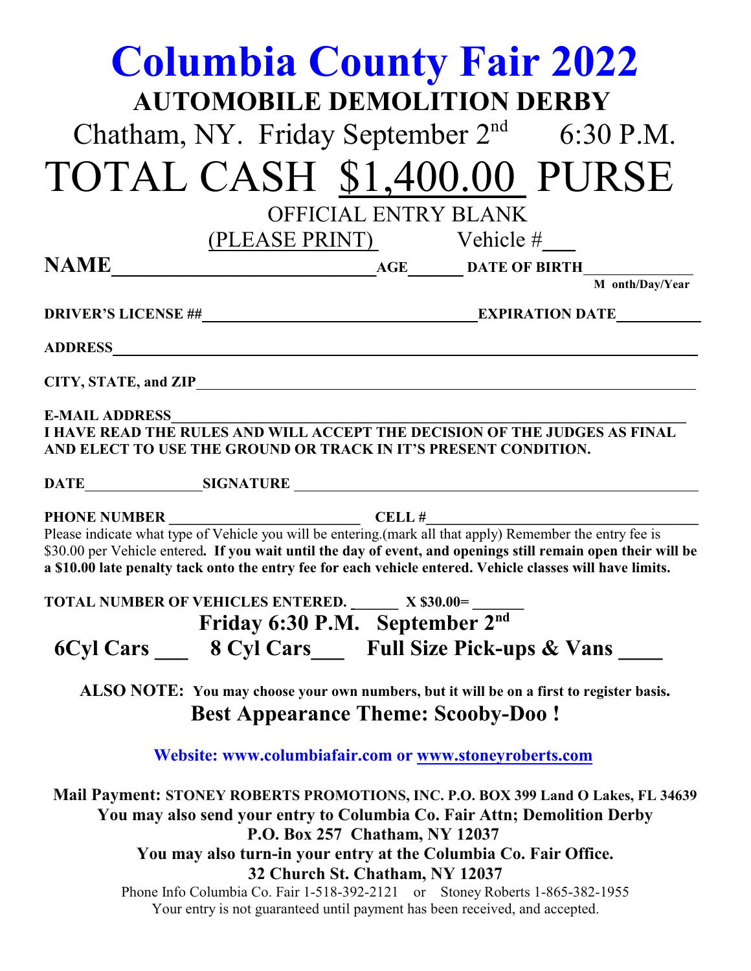|                                                                                                                                                                                                 | <b>Columbia County Fair 2022</b><br><b>AUTOMOBILE DEMOLITION DERBY</b><br>Chatham, NY. Friday September $2nd$ 6:30 P.M.                                                                                                                                                                                                                  |  |  |
|-------------------------------------------------------------------------------------------------------------------------------------------------------------------------------------------------|------------------------------------------------------------------------------------------------------------------------------------------------------------------------------------------------------------------------------------------------------------------------------------------------------------------------------------------|--|--|
|                                                                                                                                                                                                 |                                                                                                                                                                                                                                                                                                                                          |  |  |
|                                                                                                                                                                                                 | TOTAL CASH \$1,400.00 PURSE                                                                                                                                                                                                                                                                                                              |  |  |
|                                                                                                                                                                                                 | <b>OFFICIAL ENTRY BLANK</b>                                                                                                                                                                                                                                                                                                              |  |  |
|                                                                                                                                                                                                 | (PLEASE PRINT) Vehicle #                                                                                                                                                                                                                                                                                                                 |  |  |
|                                                                                                                                                                                                 |                                                                                                                                                                                                                                                                                                                                          |  |  |
|                                                                                                                                                                                                 | M onth/Day/Year                                                                                                                                                                                                                                                                                                                          |  |  |
|                                                                                                                                                                                                 |                                                                                                                                                                                                                                                                                                                                          |  |  |
| CITY, STATE, and ZIP                                                                                                                                                                            |                                                                                                                                                                                                                                                                                                                                          |  |  |
| <b>E-MAIL ADDRESS</b><br>I HAVE READ THE RULES AND WILL ACCEPT THE DECISION OF THE JUDGES AS FINAL<br>AND ELECT TO USE THE GROUND OR TRACK IN IT'S PRESENT CONDITION.                           |                                                                                                                                                                                                                                                                                                                                          |  |  |
|                                                                                                                                                                                                 |                                                                                                                                                                                                                                                                                                                                          |  |  |
|                                                                                                                                                                                                 | Please indicate what type of Vehicle you will be entering.(mark all that apply) Remember the entry fee is<br>\$30.00 per Vehicle entered. If you wait until the day of event, and openings still remain open their will be<br>a \$10.00 late penalty tack onto the entry fee for each vehicle entered. Vehicle classes will have limits. |  |  |
|                                                                                                                                                                                                 | TOTAL NUMBER OF VEHICLES ENTERED. X \$30.00=<br>Friday 6:30 P.M. September 2 <sup>nd</sup>                                                                                                                                                                                                                                               |  |  |
|                                                                                                                                                                                                 | 6Cyl Cars ____ 8 Cyl Cars ____ Full Size Pick-ups & Vans ____                                                                                                                                                                                                                                                                            |  |  |
| ALSO NOTE: You may choose your own numbers, but it will be on a first to register basis.<br><b>Best Appearance Theme: Scooby-Doo!</b>                                                           |                                                                                                                                                                                                                                                                                                                                          |  |  |
| Website: www.columbiafair.com or www.stoneyroberts.com                                                                                                                                          |                                                                                                                                                                                                                                                                                                                                          |  |  |
| Mail Payment: STONEY ROBERTS PROMOTIONS, INC. P.O. BOX 399 Land O Lakes, FL 34639<br>You may also send your entry to Columbia Co. Fair Attn; Demolition Derby<br>P.O. Box 257 Chatham, NY 12037 |                                                                                                                                                                                                                                                                                                                                          |  |  |
| You may also turn-in your entry at the Columbia Co. Fair Office.                                                                                                                                |                                                                                                                                                                                                                                                                                                                                          |  |  |
|                                                                                                                                                                                                 | 32 Church St. Chatham, NY 12037<br>Phone Info Columbia Co. Fair 1-518-392-2121 or Stoney Roberts 1-865-382-1955<br>Your entry is not guaranteed until payment has been received, and accepted.                                                                                                                                           |  |  |